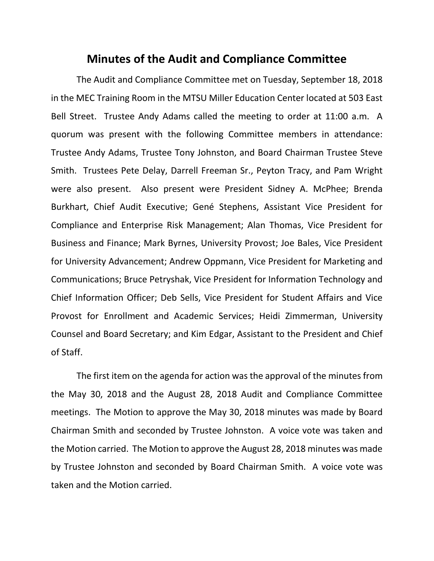## **Minutes of the Audit and Compliance Committee**

The Audit and Compliance Committee met on Tuesday, September 18, 2018 in the MEC Training Room in the MTSU Miller Education Center located at 503 East Bell Street. Trustee Andy Adams called the meeting to order at 11:00 a.m. A quorum was present with the following Committee members in attendance: Trustee Andy Adams, Trustee Tony Johnston, and Board Chairman Trustee Steve Smith. Trustees Pete Delay, Darrell Freeman Sr., Peyton Tracy, and Pam Wright were also present. Also present were President Sidney A. McPhee; Brenda Burkhart, Chief Audit Executive; Gené Stephens, Assistant Vice President for Compliance and Enterprise Risk Management; Alan Thomas, Vice President for Business and Finance; Mark Byrnes, University Provost; Joe Bales, Vice President for University Advancement; Andrew Oppmann, Vice President for Marketing and Communications; Bruce Petryshak, Vice President for Information Technology and Chief Information Officer; Deb Sells, Vice President for Student Affairs and Vice Provost for Enrollment and Academic Services; Heidi Zimmerman, University Counsel and Board Secretary; and Kim Edgar, Assistant to the President and Chief of Staff.

The first item on the agenda for action was the approval of the minutes from the May 30, 2018 and the August 28, 2018 Audit and Compliance Committee meetings. The Motion to approve the May 30, 2018 minutes was made by Board Chairman Smith and seconded by Trustee Johnston. A voice vote was taken and the Motion carried. The Motion to approve the August 28, 2018 minutes was made by Trustee Johnston and seconded by Board Chairman Smith. A voice vote was taken and the Motion carried.